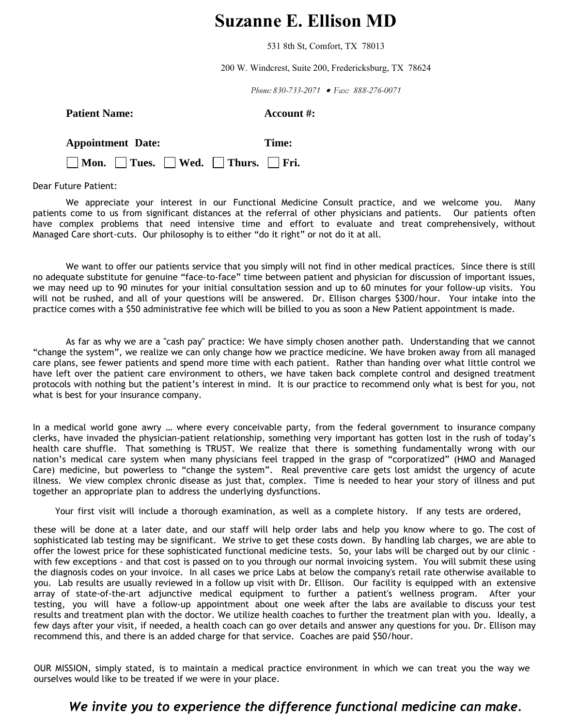# **Suzanne E. Ellison MD**

531 8th St, Comfort, TX 78013

200 W. Windcrest, Suite 200, Fredericksburg, TX 78624

*Phone: 830-733-2071 Fax: 888-276-0071*

### **Patient Name:** Account #:

| <b>Appointment Date:</b> |  |  | Time:                                                          |  |
|--------------------------|--|--|----------------------------------------------------------------|--|
|                          |  |  | $\Box$ Mon. $\Box$ Tues. $\Box$ Wed. $\Box$ Thurs. $\Box$ Fri. |  |

Dear Future Patient:

We appreciate your interest in our Functional Medicine Consult practice, and we welcome you. Many patients come to us from significant distances at the referral of other physicians and patients. Our patients often have complex problems that need intensive time and effort to evaluate and treat comprehensively, without Managed Care short-cuts. Our philosophy is to either "do it right" or not do it at all.

We want to offer our patients service that you simply will not find in other medical practices. Since there is still no adequate substitute for genuine "face-to-face" time between patient and physician for discussion of important issues, we may need up to 90 minutes for your initial consultation session and up to 60 minutes for your follow-up visits. You will not be rushed, and all of your questions will be answered. Dr. Ellison charges \$300/hour. Your intake into the practice comes with a \$50 administrative fee which will be billed to you as soon a New Patient appointment is made.

As far as why we are a "cash pay" practice: We have simply chosen another path. Understanding that we cannot "change the system", we realize we can only change how we practice medicine. We have broken away from all managed care plans, see fewer patients and spend more time with each patient. Rather than handing over what little control we have left over the patient care environment to others, we have taken back complete control and designed treatment protocols with nothing but the patient's interest in mind. It is our practice to recommend only what is best for you, not what is best for your insurance company.

In a medical world gone awry … where every conceivable party, from the federal government to insurance company clerks, have invaded the physician-patient relationship, something very important has gotten lost in the rush of today's health care shuffle. That something is TRUST. We realize that there is something fundamentally wrong with our nation's medical care system when many physicians feel trapped in the grasp of "corporatized" (HMO and Managed Care) medicine, but powerless to "change the system". Real preventive care gets lost amidst the urgency of acute illness. We view complex chronic disease as just that, complex. Time is needed to hear your story of illness and put together an appropriate plan to address the underlying dysfunctions.

Your first visit will include a thorough examination, as well as a complete history. If any tests are ordered,

these will be done at a later date, and our staff will help order labs and help you know where to go. The cost of sophisticated lab testing may be significant. We strive to get these costs down. By handling lab charges, we are able to offer the lowest price for these sophisticated functional medicine tests. So, your labs will be charged out by our clinic with few exceptions - and that cost is passed on to you through our normal invoicing system. You will submit these using the diagnosis codes on your invoice. In all cases we price Labs at below the company's retail rate otherwise available to you. Lab results are usually reviewed in a follow up visit with Dr. Ellison. Our facility is equipped with an extensive array of state-of-the-art adjunctive medical equipment to further a patient's wellness program. After your testing, you will have a follow-up appointment about one week after the labs are available to discuss your test results and treatment plan with the doctor. We utilize health coaches to further the treatment plan with you. Ideally, a few days after your visit, if needed, a health coach can go over details and answer any questions for you. Dr. Ellison may recommend this, and there is an added charge for that service. Coaches are paid \$50/hour.

OUR MISSION, simply stated, is to maintain a medical practice environment in which we can treat you the way we ourselves would like to be treated if we were in your place.

## *We invite you to experience the difference functional medicine can make.*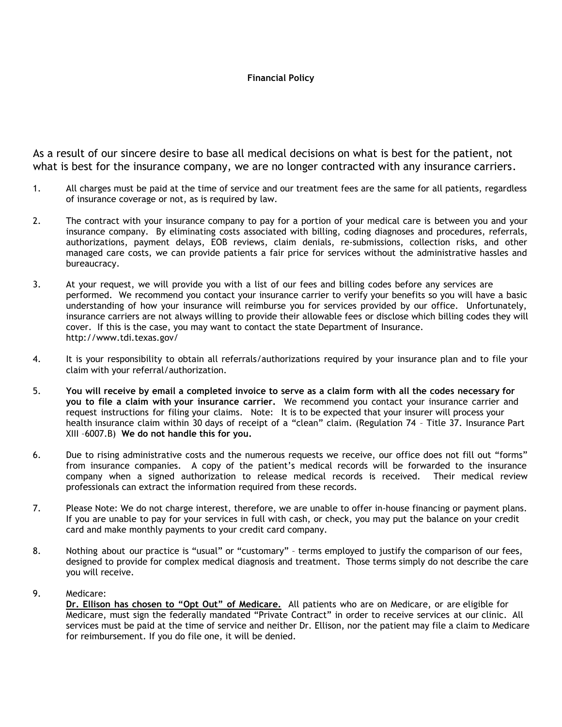#### **Financial Policy**

As a result of our sincere desire to base all medical decisions on what is best for the patient, not what is best for the insurance company, we are no longer contracted with any insurance carriers.

- 1. All charges must be paid at the time of service and our treatment fees are the same for all patients, regardless of insurance coverage or not, as is required by law.
- 2. The contract with your insurance company to pay for a portion of your medical care is between you and your insurance company. By eliminating costs associated with billing, coding diagnoses and procedures, referrals, authorizations, payment delays, EOB reviews, claim denials, re-submissions, collection risks, and other managed care costs, we can provide patients a fair price for services without the administrative hassles and bureaucracy.
- 3. At your request, we will provide you with a list of our fees and billing codes before any services are performed. We recommend you contact your insurance carrier to verify your benefits so you will have a basic understanding of how your insurance will reimburse you for services provided by our office. Unfortunately, insurance carriers are not always willing to provide their allowable fees or disclose which billing codes they will cover. If this is the case, you may want to contact the state Department of Insuranc[e.](http://www.ldi.state.la.us/) http://www.tdi.texas.gov/
- 4. It is your responsibility to obtain all referrals/authorizations required by your insurance plan and to file your claim with your referral/authorization.
- 5. **You will receive by email a completed invoice to serve as a claim form with all the codes necessary for you to file a claim with your insurance carrier.** We recommend you contact your insurance carrier and request instructions for filing your claims. Note: It is to be expected that your insurer will process your health insurance claim within 30 days of receipt of a "clean" claim. (Regulation 74 – Title 37. Insurance Part XIII –6007.B) **We do not handle this for you.**
- 6. Due to rising administrative costs and the numerous requests we receive, our office does not fill out "forms" from insurance companies. A copy of the patient's medical records will be forwarded to the insurance company when a signed authorization to release medical records is received. Their medical review professionals can extract the information required from these records.
- 7. Please Note: We do not charge interest, therefore, we are unable to offer in-house financing or payment plans. If you are unable to pay for your services in full with cash, or check, you may put the balance on your credit card and make monthly payments to your credit card company.
- 8. Nothing about our practice is "usual" or "customary" terms employed to justify the comparison of our fees, designed to provide for complex medical diagnosis and treatment. Those terms simply do not describe the care you will receive.
- 9. Medicare:

**Dr. Ellison has chosen to "Opt Out" of Medicare.** All patients who are on Medicare, or are eligible for Medicare, must sign the federally mandated "Private Contract" in order to receive services at our clinic. All services must be paid at the time of service and neither Dr. Ellison, nor the patient may file a claim to Medicare for reimbursement. If you do file one, it will be denied.